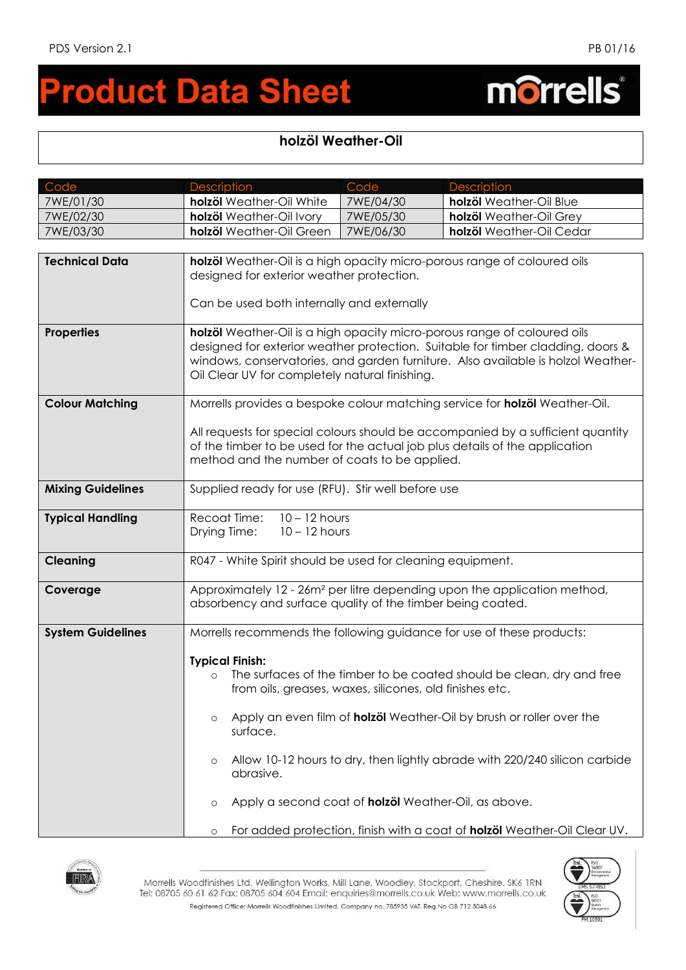morrells®

## **roduct Data Sheet**  $\blacksquare$

## **holzöl Weather-Oil**

| Code                     | <b>Description</b>                                                                                                                                                                                                                                                                                | Code      | <b>Description</b>                                                                                                                                                                                                                 |  |
|--------------------------|---------------------------------------------------------------------------------------------------------------------------------------------------------------------------------------------------------------------------------------------------------------------------------------------------|-----------|------------------------------------------------------------------------------------------------------------------------------------------------------------------------------------------------------------------------------------|--|
| 7WE/01/30                | holzöl Weather-Oil White                                                                                                                                                                                                                                                                          | 7WE/04/30 | holzöl Weather-Oil Blue                                                                                                                                                                                                            |  |
| 7WE/02/30                | holzöl Weather-Oil Ivory                                                                                                                                                                                                                                                                          | 7WE/05/30 | holzöl Weather-Oil Grey                                                                                                                                                                                                            |  |
| 7WE/03/30                | holzöl Weather-Oil Green                                                                                                                                                                                                                                                                          | 7WE/06/30 | holzöl Weather-Oil Cedar                                                                                                                                                                                                           |  |
|                          |                                                                                                                                                                                                                                                                                                   |           |                                                                                                                                                                                                                                    |  |
| <b>Technical Data</b>    | holzöl Weather-Oil is a high opacity micro-porous range of coloured oils<br>designed for exterior weather protection.<br>Can be used both internally and externally                                                                                                                               |           |                                                                                                                                                                                                                                    |  |
| <b>Properties</b>        | holzöl Weather-Oil is a high opacity micro-porous range of coloured oils<br>designed for exterior weather protection. Suitable for timber cladding, doors &<br>windows, conservatories, and garden furniture. Also available is holzol Weather-<br>Oil Clear UV for completely natural finishing. |           |                                                                                                                                                                                                                                    |  |
| <b>Colour Matching</b>   | Morrells provides a bespoke colour matching service for <b>holzöl</b> Weather-Oil.                                                                                                                                                                                                                |           |                                                                                                                                                                                                                                    |  |
|                          | All requests for special colours should be accompanied by a sufficient quantity<br>of the timber to be used for the actual job plus details of the application<br>method and the number of coats to be applied.                                                                                   |           |                                                                                                                                                                                                                                    |  |
| <b>Mixing Guidelines</b> | Supplied ready for use (RFU). Stir well before use                                                                                                                                                                                                                                                |           |                                                                                                                                                                                                                                    |  |
| <b>Typical Handling</b>  | $10 - 12$ hours<br>Recoat Time:<br>Drying Time:<br>$10 - 12$ hours                                                                                                                                                                                                                                |           |                                                                                                                                                                                                                                    |  |
| <b>Cleaning</b>          | R047 - White Spirit should be used for cleaning equipment.                                                                                                                                                                                                                                        |           |                                                                                                                                                                                                                                    |  |
| Coverage                 | Approximately 12 - 26m <sup>2</sup> per litre depending upon the application method,<br>absorbency and surface quality of the timber being coated.                                                                                                                                                |           |                                                                                                                                                                                                                                    |  |
| <b>System Guidelines</b> |                                                                                                                                                                                                                                                                                                   |           | Morrells recommends the following guidance for use of these products:                                                                                                                                                              |  |
|                          | <b>Typical Finish:</b><br>$\Omega$<br>from oils, greases, waxes, silicones, old finishes etc.<br>$\circ$<br>surface.<br>$\circ$<br>abrasive.<br>Apply a second coat of holzöl Weather-Oil, as above.<br>$\circ$                                                                                   |           | The surfaces of the timber to be coated should be clean, dry and free<br>Apply an even film of <b>holzöl</b> Weather-Oil by brush or roller over the<br>Allow 10-12 hours to dry, then lightly abrade with 220/240 silicon carbide |  |
|                          | $\circ$                                                                                                                                                                                                                                                                                           |           | For added protection, finish with a coat of <b>holzöl</b> Weather-Oil Clear UV.                                                                                                                                                    |  |